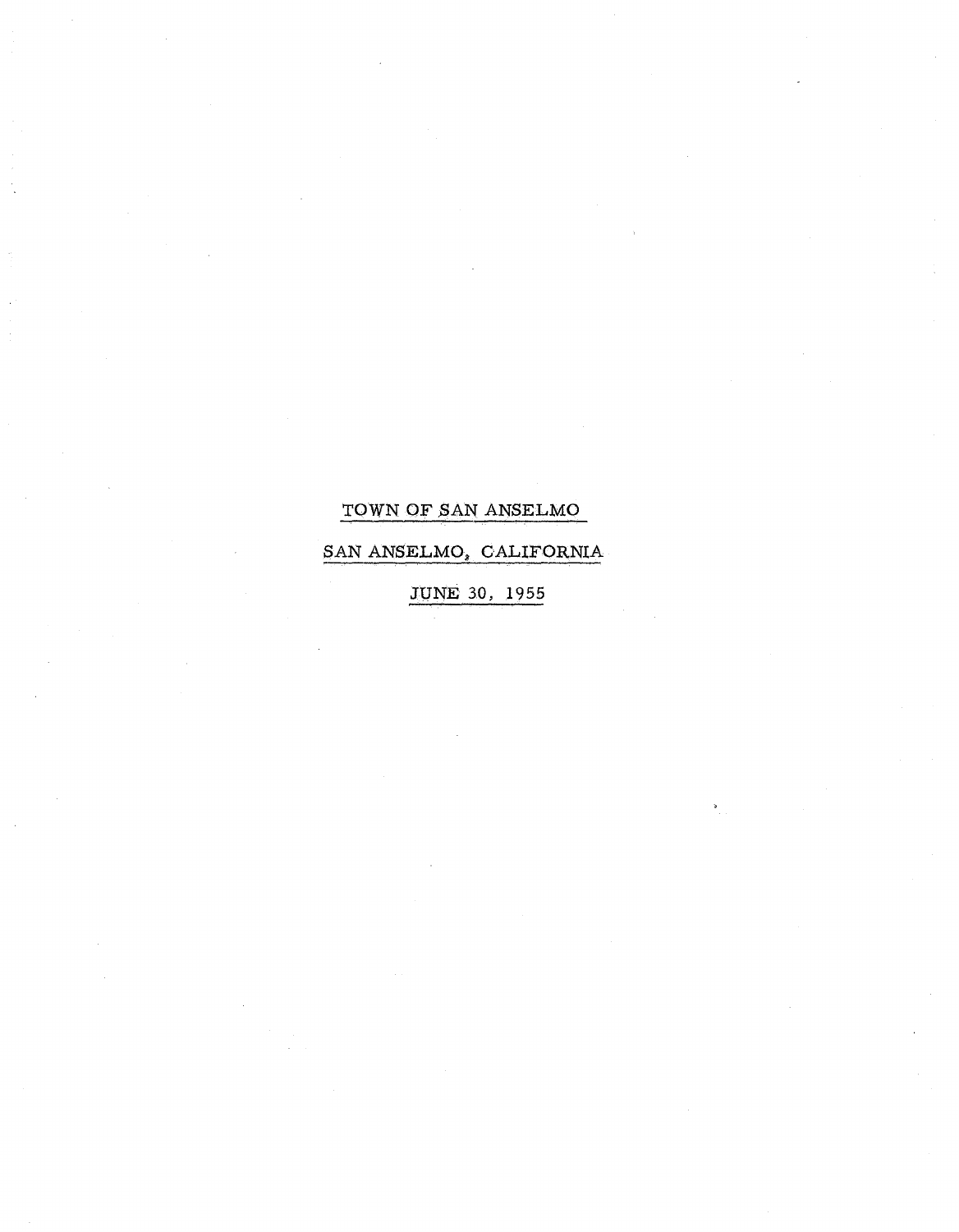# TOWN QF SAN ANSELMO

# SAN ANSELMO, CALIFORNIA

JUNE 30, 1955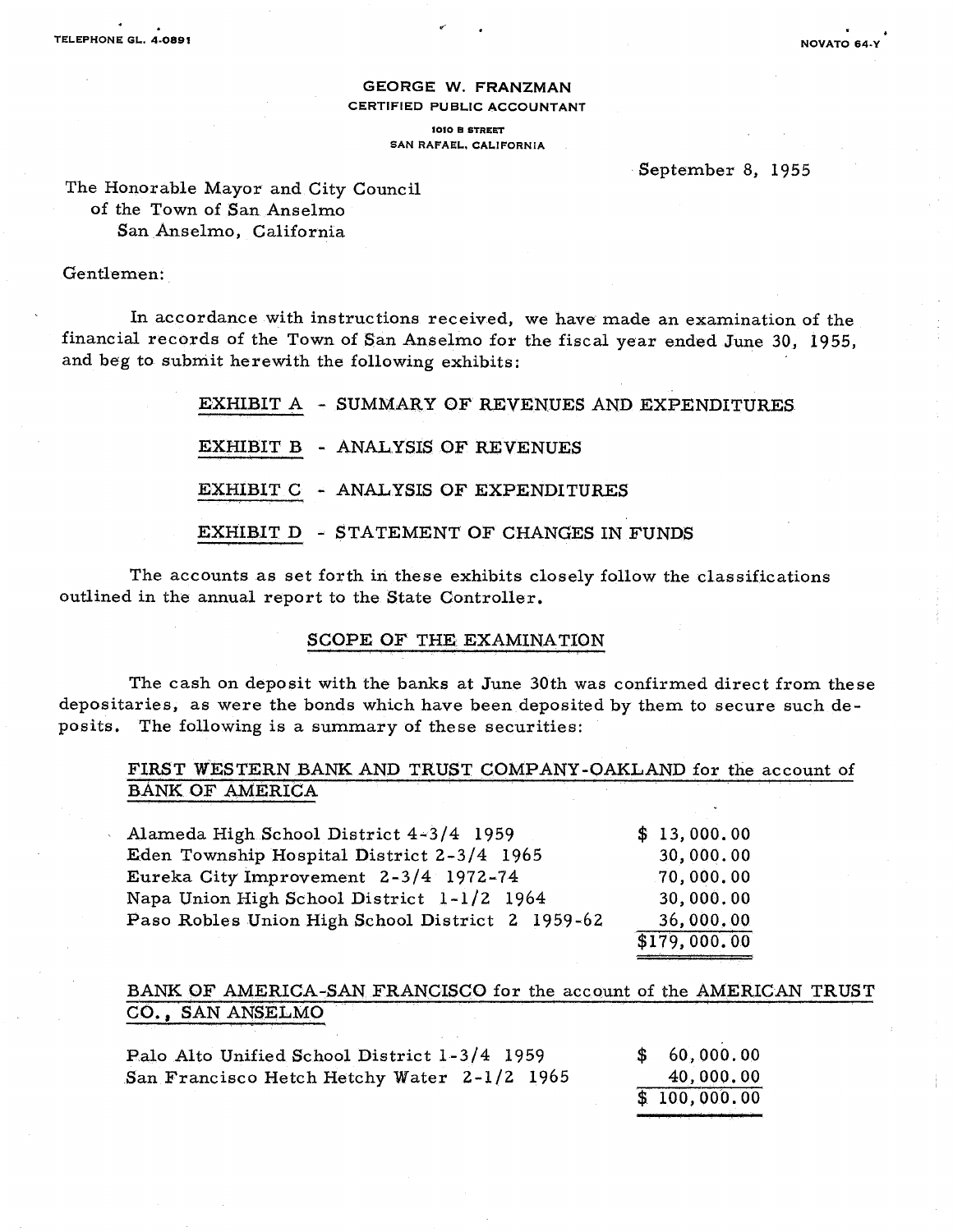#### GEORGE W. FRANZMAN CERTIFIED PUBLIC ACCOUNTANT

1010 B STREET SAN RAFAEL. CALIFORNIA

#### September 8, 1955

The Honorable Mayor and City Council of the Town of San Anselmo San Anselmo, California

### Gentlemen:

In accordance with instructions received, we have made an examination of the financial records of the Town of San Anselmo for the fiscal year ended June 30, 1955, and beg to submit herewith the following exhibits:

|  | EXHIBIT A - SUMMARY OF REVENUES AND EXPENDITURES |
|--|--------------------------------------------------|
|  | EXHIBIT B - ANALYSIS OF REVENUES                 |
|  | EXHIBIT C - ANALYSIS OF EXPENDITURES             |
|  | EXHIBIT D - STATEMENT OF CHANGES IN FUNDS        |

The accounts as set forth in these exhibits closely follow the classifications outlined in the annual report to the State Controller.

### SCOPE OF THE EXAMINATION

The cash on deposit with the banks at June 30th was confirmed direct from these depositaries, as were the bonds which have been deposited by them to secure such deposits. The following is a summary of these securities:

### FIRST WESTERN BANK AND TRUST COMPANY-OAKLAND for the account of BANK OF AMERICA

| Alameda High School District 4-3/4 1959          | \$13,000.00  |
|--------------------------------------------------|--------------|
| Eden Township Hospital District 2-3/4 1965       | 30,000.00    |
| Eureka City Improvement 2-3/4 1972-74            | 70,000.00    |
| Napa Union High School District 1-1/2 1964       | 30,000.00    |
| Paso Robles Union High School District 2 1959-62 | 36,000.00    |
|                                                  | \$179,000.00 |

### BANK OF AMERICA-SAN FRANCISCO for the account of the AMERICAN TRUST CO., SAN ANSELMO

| Palo Alto Unified School District 1-3/4 1959 | \$60,000.00  |
|----------------------------------------------|--------------|
| San Francisco Hetch Hetchy Water 2-1/2 1965  | 40,000,00    |
|                                              | \$100,000.00 |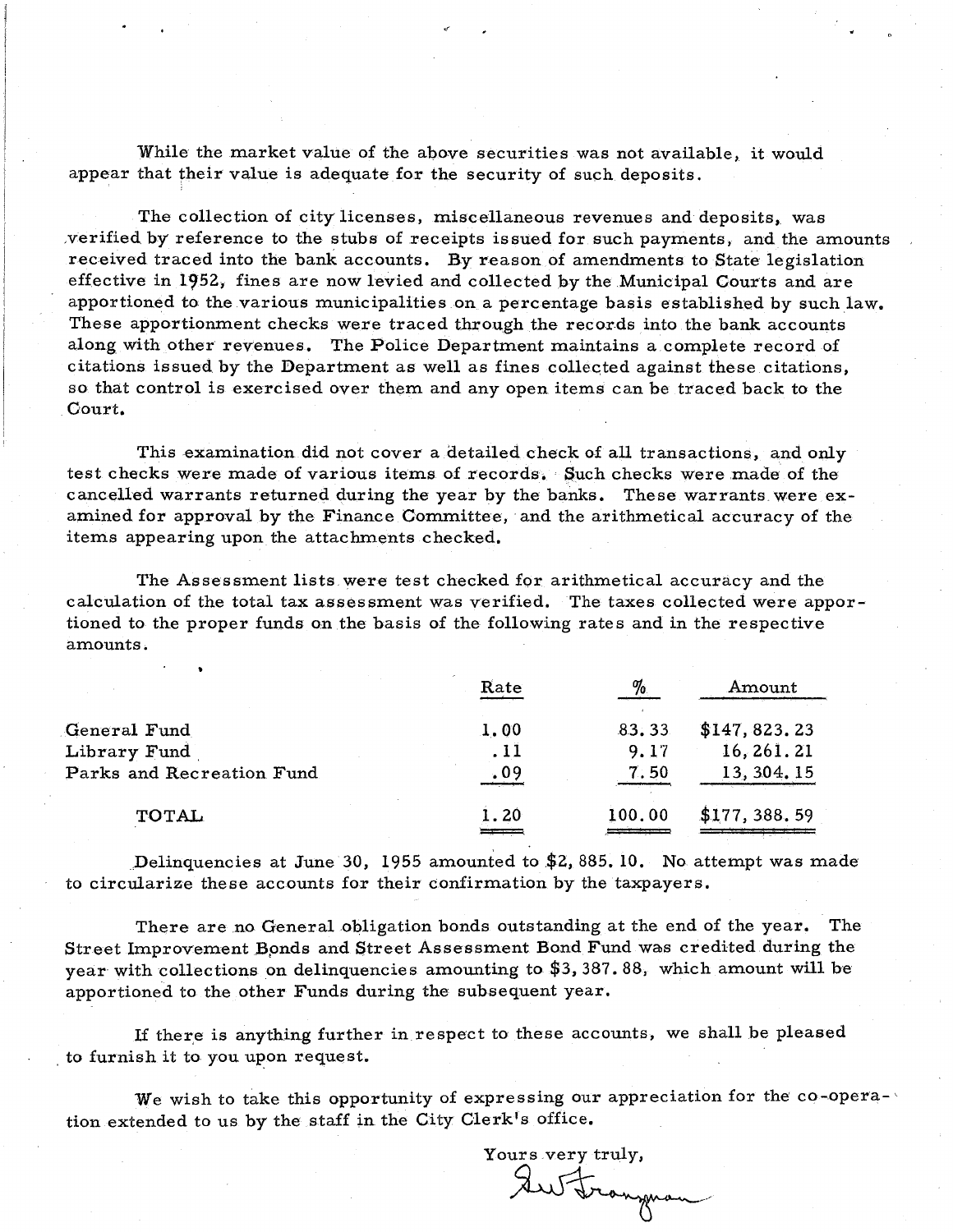While the market value of the above securities was not available, it would appear that their value is adequate for the security of such deposits.

The collection of city licenses, miscellaneous revenues and deposits, was ,verified by reference to the stubs of receipts issued for such payments, and the amounts received traced into the bank accounts. By reason of amendments to State legislation effective in 1952, fines are now levied and collected by the Municipal Courts and are apportioned to the various municipalities on a percentage basis established by such law. These apportionment checks were traced through the records into the bank accounts along with other revenues. The Police Department maintains a complete record of citations issued by the Department as well as fines collected against these citations, so that control is exercised over them and any open items can be traced back to the Oourt.

This examination did not cover a detailed check of all transactions, and only test checks were made of various items of records. Such checks were made of the cancelled warrants returned during the year by the banks. These warrants were examined for approval by the Finance Committee, and the arithmetical accuracy of the items appearing upon the attachments checked.

The Assessment lists were test checked for arithmetical accuracy and the calculation of the total tax assessment was verified. The taxes collected were apportioned to the proper funds on the basis of the following rates and in the respective amounts.

|                           | Rate | $\%$   | Amount        |
|---------------------------|------|--------|---------------|
| General Fund              | 1.00 | 83.33  | \$147, 823.23 |
| Library Fund              | . 11 | 9.17   | 16, 261. 21   |
| Parks and Recreation Fund | .09  | 7.50   | 13, 304, 15   |
| <b>TOTAL</b>              | 1.20 | 100.00 | \$177, 388.59 |
|                           |      |        |               |

Delinquencies at June 30, 1955 amounted to  $$2, 885. 10$ . No attempt was made to circularize these accounts for their confirmation by the taxpayers.

There are no General obligation bonds outstanding at the end of the year. The Street Improvement Bonds and Street Assessment Bond Fund was credited during the year with collections on delinquencies amounting to \$3,387.88, which amount will be apportioned to the other Funds during the subsequent year.

If there is anything further in respect to these accounts, we shall be pleased to furnish it to you upon request.

We wish to take this opportunity of expressing our appreciation for the co-opera-' tion extended to us by the staff in the City Clerk's office.

Yours very truly,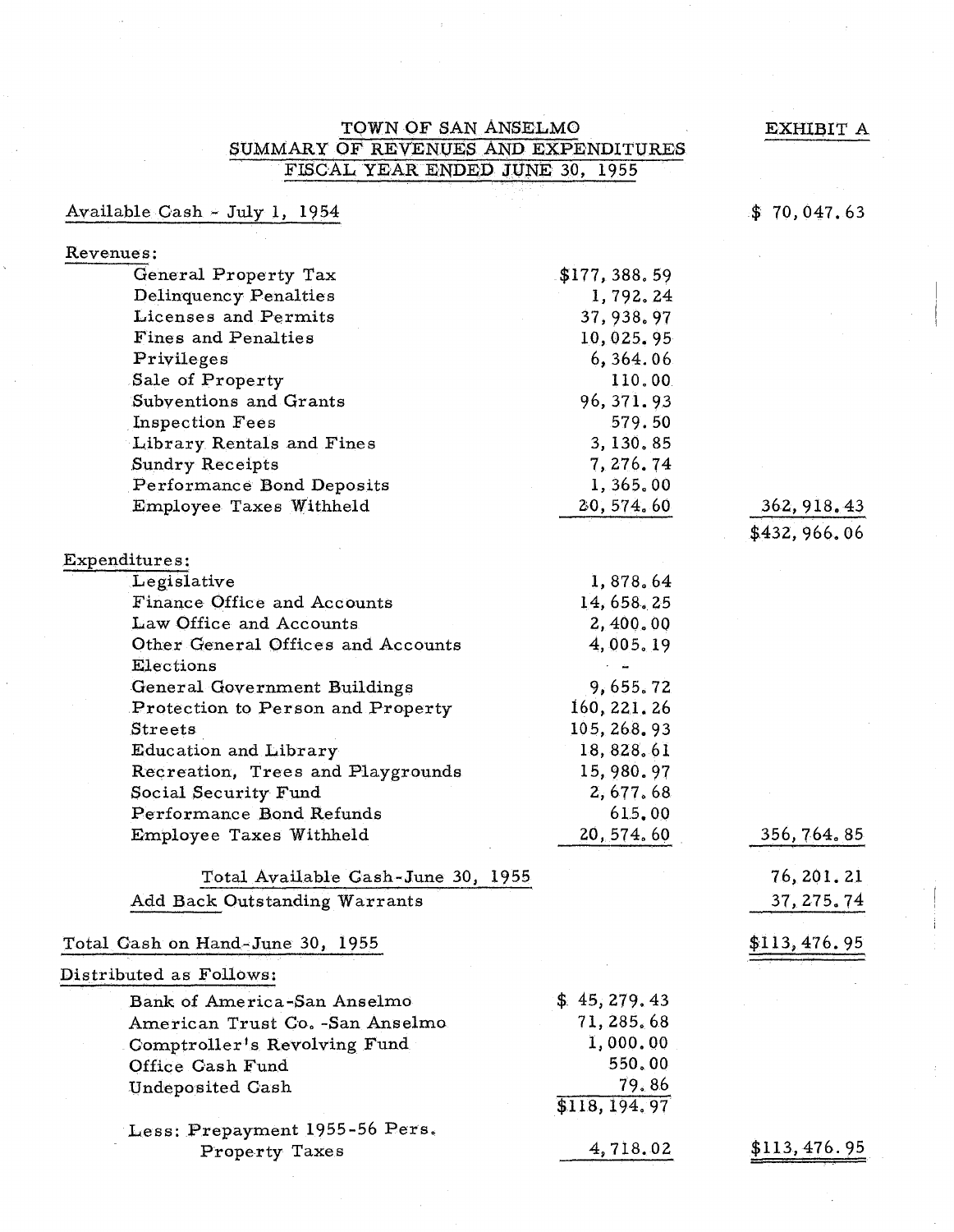$\mathbf E$ XHIBIT A

## TQWNOF SAN ANSELMO SUMMARY OF REVENUES AND EXPENDITURES FISCAL YEAR ENDED JUNE 30, 1955

# Available Gash- July 1, 1954

## \$ 70,047.63

### Revenues:

| General Property Tax               | \$177,388.59   |                                        |
|------------------------------------|----------------|----------------------------------------|
| Delinquency Penalties              | 1,792.24       |                                        |
| Licenses and Permits               | 37, 938. 97    |                                        |
| Fines and Penalties                | 10,025.95      |                                        |
| Privileges                         | 6,364.06       |                                        |
| Sale of Property                   | 110.00         |                                        |
| Subventions and Grants             | 96, 371.93     |                                        |
| <b>Inspection Fees</b>             | 579.50         |                                        |
| Library Rentals and Fines          | 3, 130, 85     |                                        |
| <b>Sundry Receipts</b>             | 7, 276. 74     |                                        |
| Performance Bond Deposits          | 1,365.00       |                                        |
| Employee Taxes Withheld            | 20, 574.60     |                                        |
|                                    |                | $\frac{362,918.43}{1}$<br>\$432,966.06 |
| Expenditures;                      |                |                                        |
| Legislative                        | 1,878.64       |                                        |
| Finance Office and Accounts        | 14, 658, 25    |                                        |
| Law Office and Accounts            | 2,400.00       |                                        |
| Other General Offices and Accounts | 4,005.19       |                                        |
| Elections                          |                |                                        |
| General Government Buildings       | 9,655.72       |                                        |
| Protection to Person and Property  | 160, 221, 26   |                                        |
| <b>Streets</b>                     | 105, 268. 93   |                                        |
| Education and Library              | 18, 828, 61    |                                        |
| Recreation, Trees and Playgrounds  | 15,980.97      |                                        |
| Social Security Fund               | 2,677.68       |                                        |
| Performance Bond Refunds           | 615.00         |                                        |
| Employee Taxes Withheld            | 20, 574, 60    | 356, 764, 85                           |
| Total Available Cash-June 30, 1955 |                | 76, 201. 21                            |
| Add Back Outstanding Warrants      |                | 37, 275.74                             |
|                                    |                |                                        |
| Total Cash on Hand-June 30, 1955   |                | \$113,476.95                           |
| Distributed as Follows:            |                |                                        |
| Bank of America-San Anselmo        | \$45, 279.43   |                                        |
| American Trust Co. -San Anselmo    | 71, 285, 68    |                                        |
| Comptroller's Revolving Fund       | 1,000.00       |                                        |
| Office Cash Fund                   | 550.00         |                                        |
| <b>Undeposited Cash</b>            | 79.86          |                                        |
|                                    | \$118, 194, 97 |                                        |
| Less: Prepayment 1955-56 Pers.     |                |                                        |

Property Taxes

4,718.02

\$113,476.95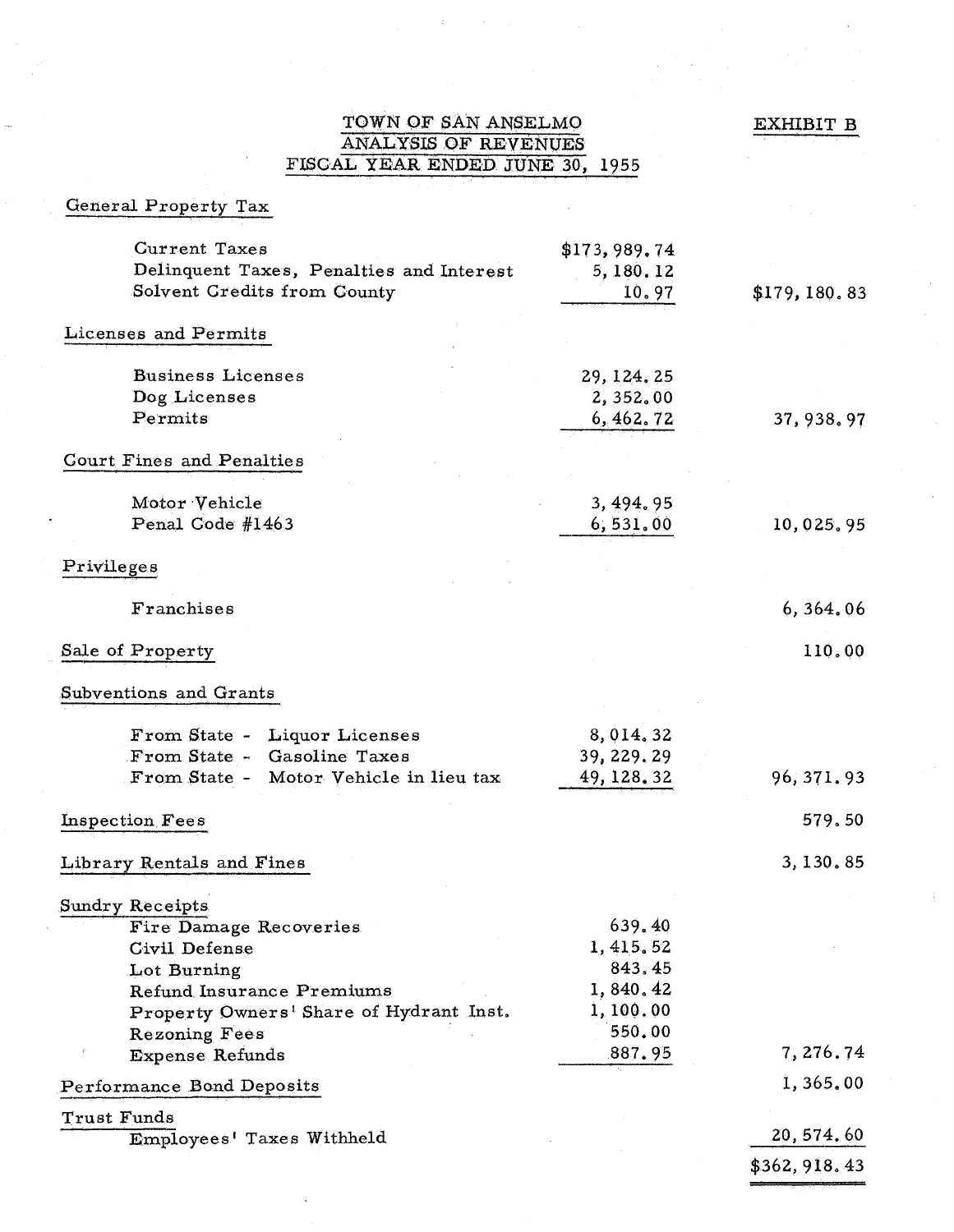EXHIBIT B

### TOWN OF SAN ANSELMO ANALYSIS OF REVENUES FISOAL YEAR ENDED JUNE 30, 1955

| General Property Tax                     |              |               |
|------------------------------------------|--------------|---------------|
| <b>Current Taxes</b>                     | \$173,989.74 |               |
| Delinquent Taxes, Penalties and Interest | 5,180.12     |               |
| Solvent Gredits from County              | 10.97        | \$179, 180.83 |
| Licenses and Permits                     |              |               |
| <b>Business Licenses</b>                 | 29, 124, 25  |               |
| Dog Licenses                             | 2,352.00     |               |
| Permits                                  | 6, 462.72    | 37, 938, 97   |
| <b>Court Fines and Penalties</b>         |              |               |
| Motor Vehicle                            | 3, 494, 95   |               |
| Penal Code #1463                         | 6,531.00     | 10,025.95     |
| Privileges                               |              |               |
|                                          |              |               |
| Franchises                               |              | 6,364.06      |
| Sale of Property                         |              | 110.00        |
| Subventions and Grants                   |              |               |
| From State - Liquor Licenses             | 8,014.32     |               |
| From State - Gasoline Taxes              | 39, 229. 29  |               |
| From State - Motor Vehicle in lieu tax   | 49, 128, 32  | 96, 371.93    |
| Inspection Fees                          |              | 579.50        |
| Library Rentals and Fines                |              | 3, 130, 85    |
| Sundry Receipts                          |              |               |
| Fire Damage Recoveries                   | 639.40       |               |
| <b>Civil Defense</b>                     | 1, 415.52    |               |
| Lot Burning                              | 843.45       |               |
| <b>Refund Insurance Premiums</b>         | 1,840.42     |               |
| Property Owners' Share of Hydrant Inst.  | 1,100.00     |               |
| <b>Rezoning Fees</b>                     | 550.00       |               |
| <b>Expense Refunds</b>                   | 887.95       | 7,276.74      |
| Performance Bond Deposits                |              | 1,365.00      |
| Trust Funds                              |              |               |
| Employees' Taxes Withheld                |              | 20, 574.60    |
|                                          |              | \$362, 918.43 |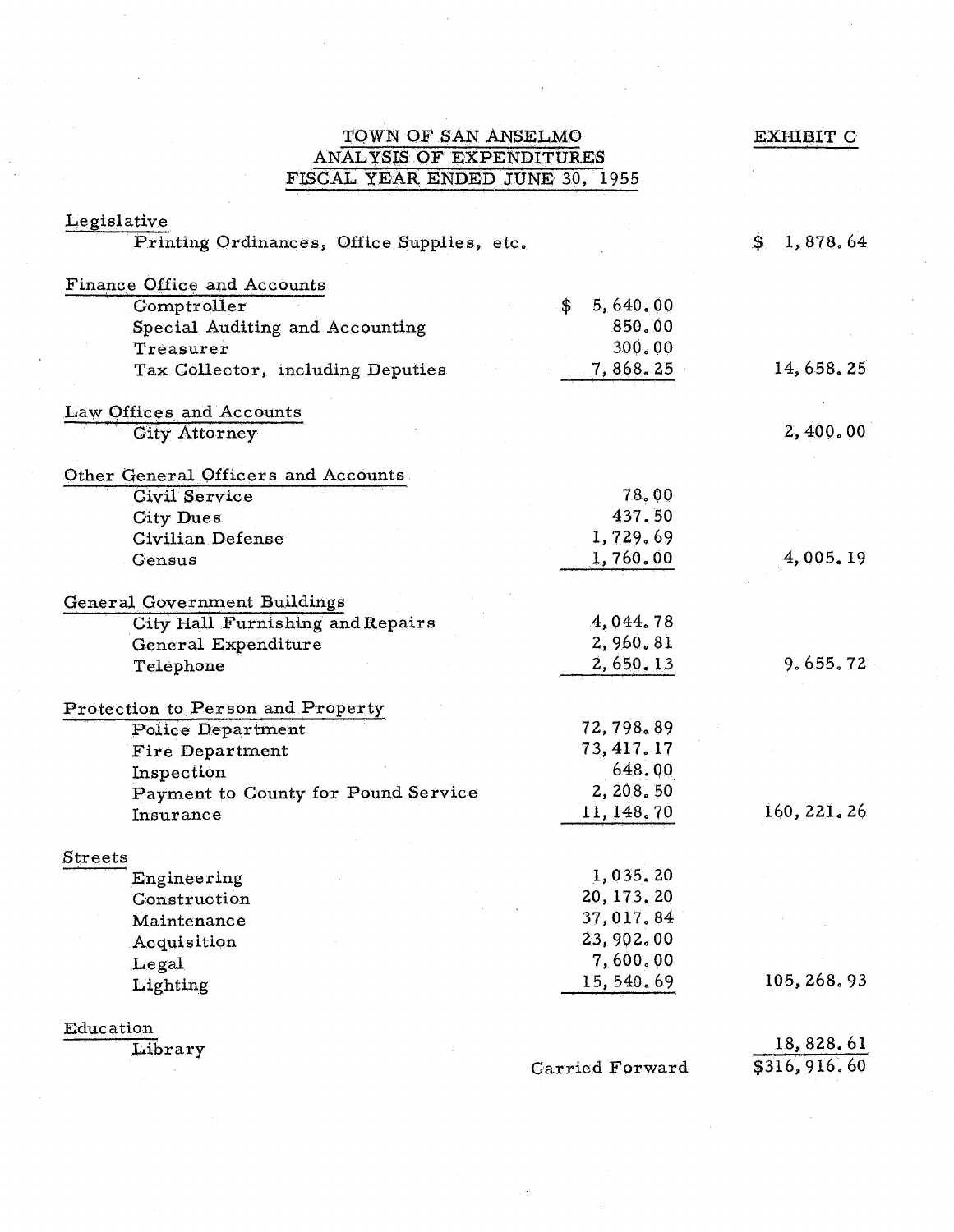| TOWN OF SAN ANSELMO                                         | EXHIBIT C              |                 |
|-------------------------------------------------------------|------------------------|-----------------|
| ANALYSIS OF EXPENDITURES                                    |                        |                 |
| FISCAL YEAR ENDED JUNE 30, 1955                             |                        |                 |
| Legislative                                                 |                        |                 |
| Printing Ordinances, Office Supplies, etc.                  |                        | 1,878.64<br>\$. |
|                                                             |                        |                 |
| <b>Finance Office and Accounts</b>                          |                        |                 |
| Comptroller                                                 | \$<br>5,640.00         |                 |
| Special Auditing and Accounting                             | 850.00                 |                 |
| Treasurer                                                   | 300.00                 |                 |
| Tax Collector, including Deputies                           | 7, 868. 25             | 14, 658, 25     |
| Law Offices and Accounts                                    |                        |                 |
| <b>City Attorney</b>                                        |                        | 2,400.00        |
|                                                             |                        |                 |
| Other General Officers and Accounts<br><b>Civil Service</b> | 78.00                  |                 |
| City Dues                                                   | 437.50                 |                 |
| <b>Civilian Defense</b>                                     | 1,729.69               |                 |
| Gensus                                                      | 1,760.00               | 4,005.19        |
|                                                             |                        |                 |
| General Government Buildings                                |                        |                 |
| City Hall Furnishing and Repairs                            | 4,044.78               |                 |
| General Expenditure                                         | 2,960.81               |                 |
| Telephone                                                   | 2,650.13               | 9.655.72        |
| Protection to Person and Property                           |                        |                 |
| <b>Police Department</b>                                    | 72,798.89              |                 |
| Fire Department                                             | 73, 417.17             |                 |
|                                                             | 648.00                 |                 |
| Inspection                                                  | 2, 208, 50             |                 |
| Payment to County for Pound Service                         | 11, 148.70             | 160, 221, 26    |
| Insurance                                                   |                        |                 |
| Streets                                                     |                        |                 |
| Engineering                                                 | 1,035.20               |                 |
| Construction                                                | 20, 173. 20            |                 |
| Maintenance                                                 | 37,017.84              |                 |
| Acquisition                                                 | 23,902.00              |                 |
| Legal                                                       | 7,600.00               |                 |
| Lighting                                                    | 15,540.69              | 105, 268, 93    |
| Education                                                   |                        |                 |
| Library                                                     |                        | 18,828.61       |
|                                                             | <b>Garried Forward</b> | \$316, 916.60   |

 $\hat{\vec{r}}$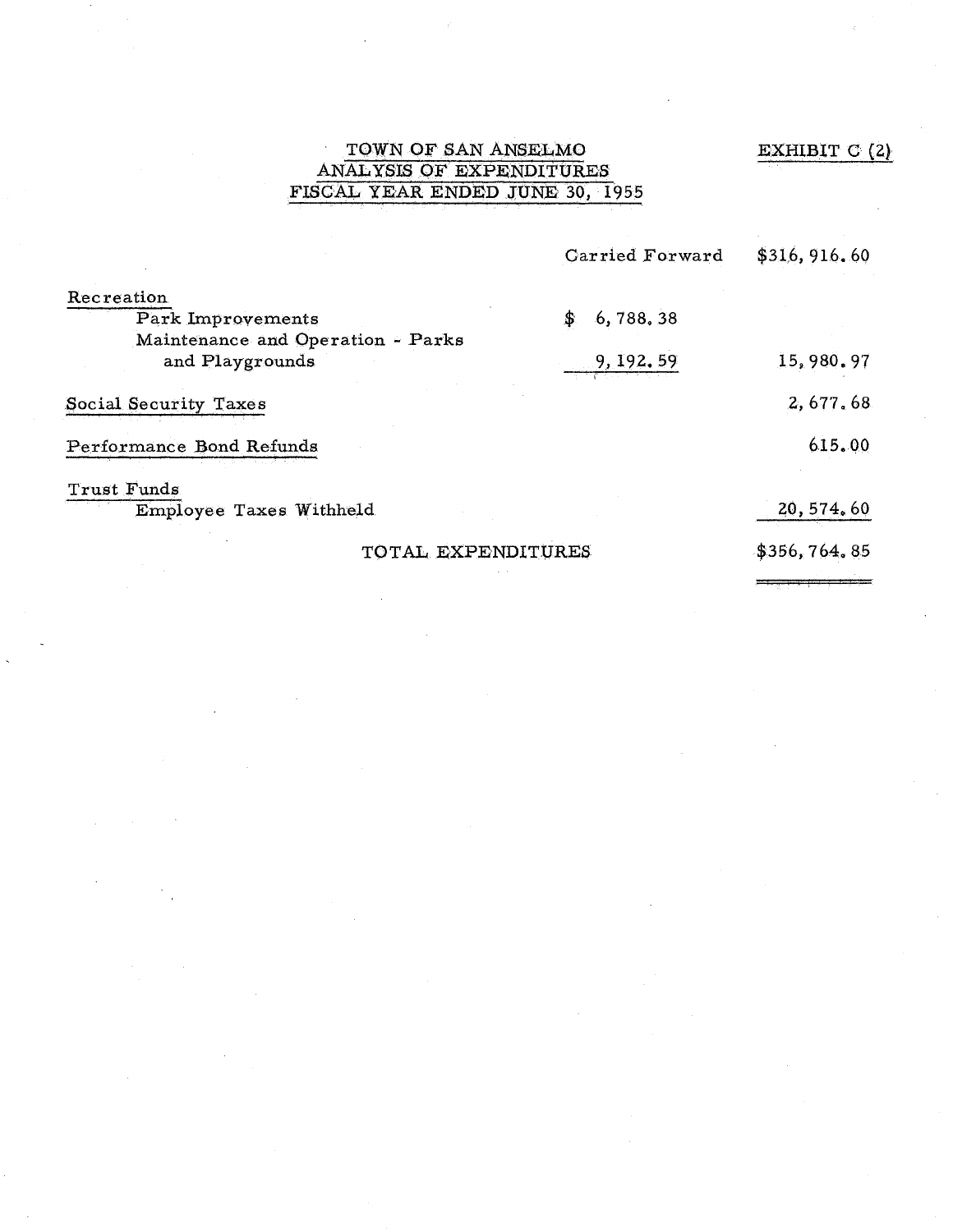# EXHIBIT C (2)

# TOWN OF SAN ANSELMO ANALYSIS OF EXPENDITURES FISCAL YEAR ENDED .JUNE 30, 1955

|                                                      | <b>Carried Forward</b> | \$316, 916.60 |
|------------------------------------------------------|------------------------|---------------|
| Recreation                                           |                        |               |
| Park Improvements                                    | 6,788.38<br>\$         |               |
| Maintenance and Operation - Parks<br>and Playgrounds | 9, 192. 59             | 15,980.97     |
| Social Security Taxes                                |                        | 2,677.68      |
| Performance Bond Refunds                             |                        | 615.00        |
| Trust Funds                                          |                        |               |
| Employee Taxes Withheld                              |                        | 20, 574, 60   |
| TOTAL EXPENDITURES                                   |                        | \$356,764.85  |